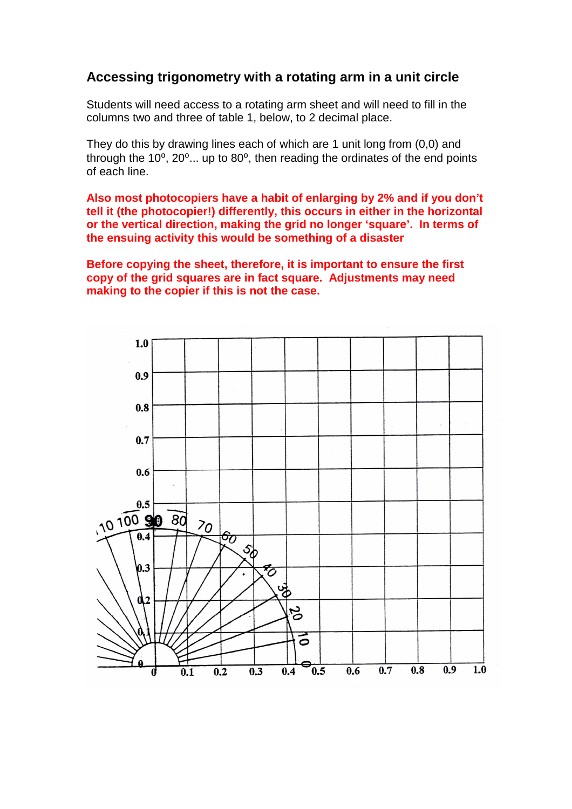# **Accessing trigonometry with a rotating arm in a unit circle**

Students will need access to a rotating arm sheet and will need to fill in the columns two and three of table 1, below, to 2 decimal place.

They do this by drawing lines each of which are 1 unit long from (0,0) and through the  $10^{\circ}$ ,  $20^{\circ}$ ... up to  $80^{\circ}$ , then reading the ordinates of the end points of each line.

**Also most photocopiers have a habit of enlarging by 2% and if you don't tell it (the photocopier!) differently, this occurs in either in the horizontal or the vertical direction, making the grid no longer 'square'. In terms of the ensuing activity this would be something of a disaster**

**Before copying the sheet, therefore, it is important to ensure the first copy of the grid squares are in fact square. Adjustments may need making to the copier if this is not the case.** 

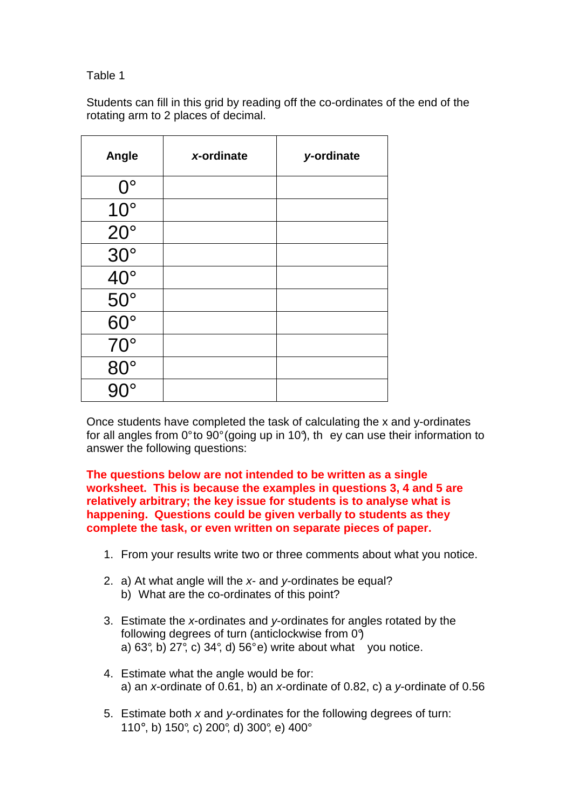## Table 1

Students can fill in this grid by reading off the co-ordinates of the end of the rotating arm to 2 places of decimal.

| Angle                           | x-ordinate | y-ordinate |
|---------------------------------|------------|------------|
| $0^{\circ}$                     |            |            |
| $10^{\circ}$                    |            |            |
| $20^{\circ}$                    |            |            |
| $\frac{30^{\circ}}{20^{\circ}}$ |            |            |
|                                 |            |            |
| $\frac{40^{\circ}}{50^{\circ}}$ |            |            |
| $60^\circ$                      |            |            |
| $70^{\circ}$                    |            |            |
| $80^\circ$                      |            |            |
| 10                              |            |            |

Once students have completed the task of calculating the x and y-ordinates for all angles from  $0^{\circ}$  to  $90^{\circ}$  (going up in 10°), they can use their information to answer the following questions:

**The questions below are not intended to be written as a single worksheet. This is because the examples in questions 3, 4 and 5 are relatively arbitrary; the key issue for students is to analyse what is happening. Questions could be given verbally to students as they complete the task, or even written on separate pieces of paper.** 

- 1. From your results write two or three comments about what you notice.
- 2. a) At what angle will the x- and y-ordinates be equal? b) What are the co-ordinates of this point?
- 3. Estimate the x-ordinates and y-ordinates for angles rotated by the following degrees of turn (anticlockwise from 0°) a)  $63^\circ$ , b)  $27^\circ$ , c)  $34^\circ$ , d)  $56^\circ$ e) write about what you notice.
- 4. Estimate what the angle would be for: a) an x-ordinate of 0.61, b) an x-ordinate of 0.82, c) a y-ordinate of 0.56
- 5. Estimate both  $x$  and  $y$ -ordinates for the following degrees of turn: 110°, b) 150°, c) 200°, d) 300°, e) 400°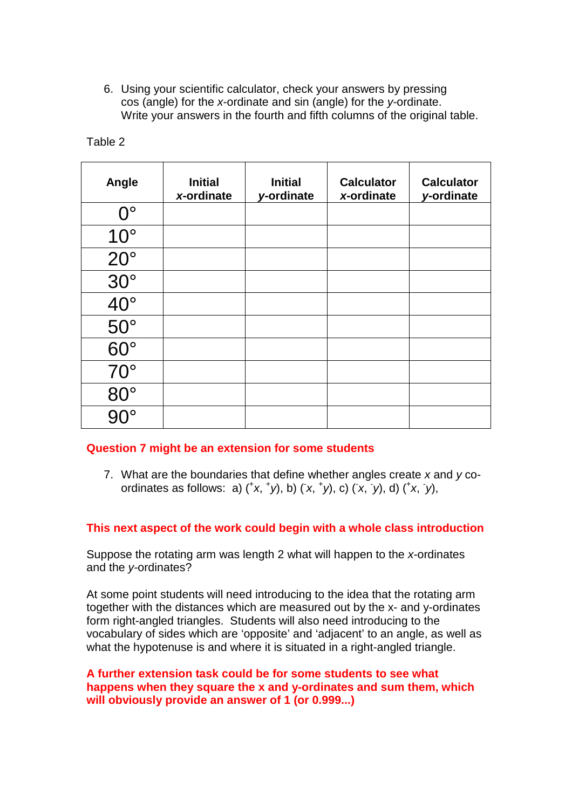6. Using your scientific calculator, check your answers by pressing cos (angle) for the x-ordinate and sin (angle) for the y-ordinate. Write your answers in the fourth and fifth columns of the original table.

| Angle        | <b>Initial</b><br>x-ordinate | <b>Initial</b><br>y-ordinate | <b>Calculator</b><br>x-ordinate | <b>Calculator</b><br>y-ordinate |
|--------------|------------------------------|------------------------------|---------------------------------|---------------------------------|
| $0^{\circ}$  |                              |                              |                                 |                                 |
| $10^{\circ}$ |                              |                              |                                 |                                 |
| $20^{\circ}$ |                              |                              |                                 |                                 |
| $30^\circ$   |                              |                              |                                 |                                 |
| $40^{\circ}$ |                              |                              |                                 |                                 |
| $50^\circ$   |                              |                              |                                 |                                 |
| $60^\circ$   |                              |                              |                                 |                                 |
| $70^{\circ}$ |                              |                              |                                 |                                 |
| $80^\circ$   |                              |                              |                                 |                                 |
|              |                              |                              |                                 |                                 |

### Table 2

#### **Question 7 might be an extension for some students**

7. What are the boundaries that define whether angles create  $x$  and  $y$  coordinates as follows: a)  $({}^{\dagger}x,{}^{\dagger}y)$ , b)  $(x,{}^{\dagger}y)$ , c)  $(x,{}^{\dagger}y)$ , d)  $({}^{\dagger}x,{}^{\dagger}y)$ ,

#### **This next aspect of the work could begin with a whole class introduction**

Suppose the rotating arm was length 2 what will happen to the x-ordinates and the y-ordinates?

At some point students will need introducing to the idea that the rotating arm together with the distances which are measured out by the x- and y-ordinates form right-angled triangles. Students will also need introducing to the vocabulary of sides which are 'opposite' and 'adjacent' to an angle, as well as what the hypotenuse is and where it is situated in a right-angled triangle.

#### **A further extension task could be for some students to see what happens when they square the x and y-ordinates and sum them, which will obviously provide an answer of 1 (or 0.999...)**